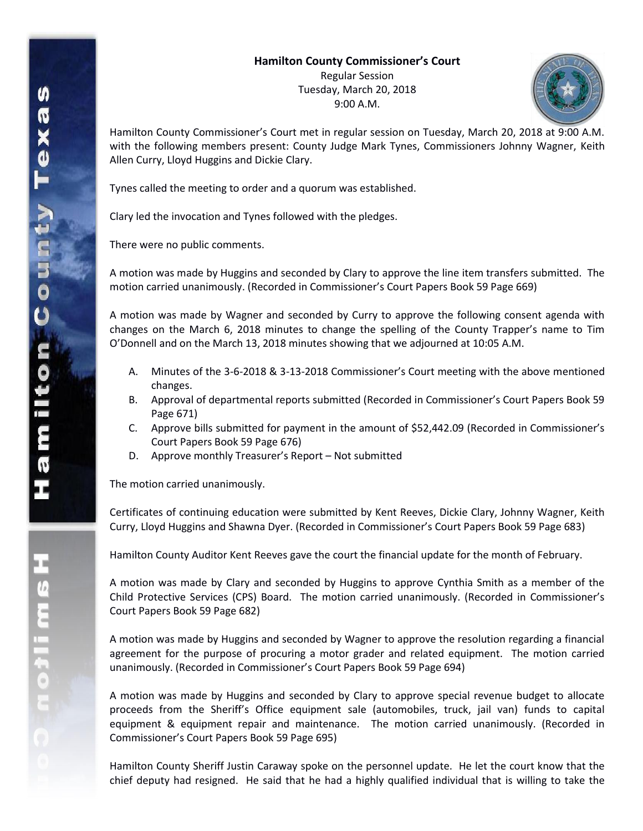## **Hamilton County Commissioner's Court**

Regular Session Tuesday, March 20, 2018 9:00 A.M.



Hamilton County Commissioner's Court met in regular session on Tuesday, March 20, 2018 at 9:00 A.M. with the following members present: County Judge Mark Tynes, Commissioners Johnny Wagner, Keith Allen Curry, Lloyd Huggins and Dickie Clary.

Tynes called the meeting to order and a quorum was established.

Clary led the invocation and Tynes followed with the pledges.

There were no public comments.

A motion was made by Huggins and seconded by Clary to approve the line item transfers submitted. The motion carried unanimously. (Recorded in Commissioner's Court Papers Book 59 Page 669)

A motion was made by Wagner and seconded by Curry to approve the following consent agenda with changes on the March 6, 2018 minutes to change the spelling of the County Trapper's name to Tim O'Donnell and on the March 13, 2018 minutes showing that we adjourned at 10:05 A.M.

- A. Minutes of the 3-6-2018 & 3-13-2018 Commissioner's Court meeting with the above mentioned changes.
- B. Approval of departmental reports submitted (Recorded in Commissioner's Court Papers Book 59 Page 671)
- C. Approve bills submitted for payment in the amount of \$52,442.09 (Recorded in Commissioner's Court Papers Book 59 Page 676)
- D. Approve monthly Treasurer's Report Not submitted

The motion carried unanimously.

Certificates of continuing education were submitted by Kent Reeves, Dickie Clary, Johnny Wagner, Keith Curry, Lloyd Huggins and Shawna Dyer. (Recorded in Commissioner's Court Papers Book 59 Page 683)

Hamilton County Auditor Kent Reeves gave the court the financial update for the month of February.

A motion was made by Clary and seconded by Huggins to approve Cynthia Smith as a member of the Child Protective Services (CPS) Board. The motion carried unanimously. (Recorded in Commissioner's Court Papers Book 59 Page 682)

A motion was made by Huggins and seconded by Wagner to approve the resolution regarding a financial agreement for the purpose of procuring a motor grader and related equipment. The motion carried unanimously. (Recorded in Commissioner's Court Papers Book 59 Page 694)

A motion was made by Huggins and seconded by Clary to approve special revenue budget to allocate proceeds from the Sheriff's Office equipment sale (automobiles, truck, jail van) funds to capital equipment & equipment repair and maintenance. The motion carried unanimously. (Recorded in Commissioner's Court Papers Book 59 Page 695)

Hamilton County Sheriff Justin Caraway spoke on the personnel update. He let the court know that the chief deputy had resigned. He said that he had a highly qualified individual that is willing to take the

エムミニャクこ